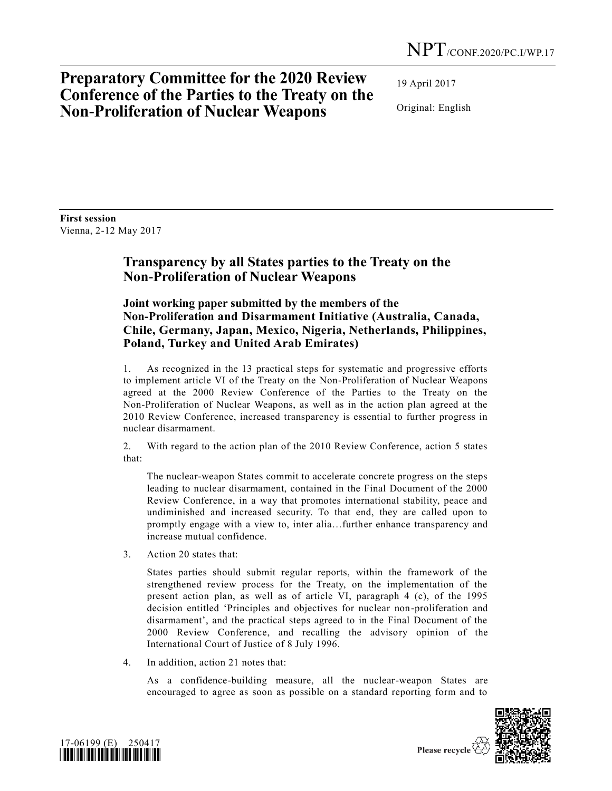# **Preparatory Committee for the 2020 Review Conference of the Parties to the Treaty on the Non-Proliferation of Nuclear Weapons**

19 April 2017

Original: English

**First session** Vienna, 2-12 May 2017

### **Transparency by all States parties to the Treaty on the Non-Proliferation of Nuclear Weapons**

### **Joint working paper submitted by the members of the Non-Proliferation and Disarmament Initiative (Australia, Canada, Chile, Germany, Japan, Mexico, Nigeria, Netherlands, Philippines, Poland, Turkey and United Arab Emirates)**

1. As recognized in the 13 practical steps for systematic and progressive efforts to implement article VI of the Treaty on the Non-Proliferation of Nuclear Weapons agreed at the 2000 Review Conference of the Parties to the Treaty on the Non-Proliferation of Nuclear Weapons, as well as in the action plan agreed at the 2010 Review Conference, increased transparency is essential to further progress in nuclear disarmament.

2. With regard to the action plan of the 2010 Review Conference, action 5 states that:

The nuclear-weapon States commit to accelerate concrete progress on the steps leading to nuclear disarmament, contained in the Final Document of the 2000 Review Conference, in a way that promotes international stability, peace and undiminished and increased security. To that end, they are called upon to promptly engage with a view to, inter alia…further enhance transparency and increase mutual confidence.

3. Action 20 states that:

States parties should submit regular reports, within the framework of the strengthened review process for the Treaty, on the implementation of the present action plan, as well as of article VI, paragraph 4 (c), of the 1995 decision entitled 'Principles and objectives for nuclear non-proliferation and disarmament', and the practical steps agreed to in the Final Document of the 2000 Review Conference, and recalling the advisory opinion of the International Court of Justice of 8 July 1996.

4. In addition, action 21 notes that:

As a confidence-building measure, all the nuclear-weapon States are encouraged to agree as soon as possible on a standard reporting form and to

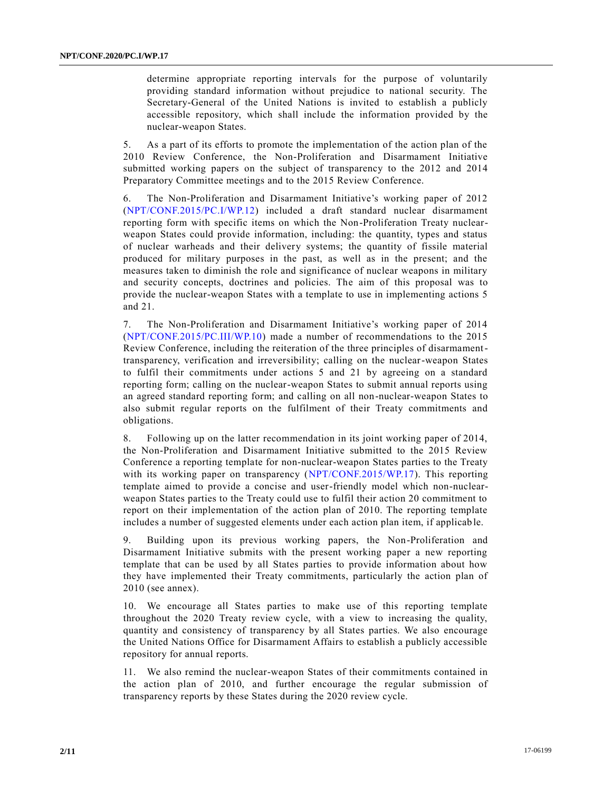determine appropriate reporting intervals for the purpose of voluntarily providing standard information without prejudice to national security. The Secretary-General of the United Nations is invited to establish a publicly accessible repository, which shall include the information provided by the nuclear-weapon States.

5. As a part of its efforts to promote the implementation of the action plan of the 2010 Review Conference, the Non-Proliferation and Disarmament Initiative submitted working papers on the subject of transparency to the 2012 and 2014 Preparatory Committee meetings and to the 2015 Review Conference.

6. The Non-Proliferation and Disarmament Initiative's working paper of 2012 [\(NPT/CONF.2015/PC.I/WP.12\)](http://undocs.org/NPT/CONF.2015/PC.I/WP.12) included a draft standard nuclear disarmament reporting form with specific items on which the Non-Proliferation Treaty nuclearweapon States could provide information, including: the quantity, types and status of nuclear warheads and their delivery systems; the quantity of fissile material produced for military purposes in the past, as well as in the present; and the measures taken to diminish the role and significance of nuclear weapons in military and security concepts, doctrines and policies. The aim of this proposal was to provide the nuclear-weapon States with a template to use in implementing actions 5 and 21.

7. The Non-Proliferation and Disarmament Initiative's working paper of 2014 [\(NPT/CONF.2015/PC.III/WP.10\)](http://undocs.org/NPT/CONF.2015/PC.III/WP.10) made a number of recommendations to the 2015 Review Conference, including the reiteration of the three principles of disarmamenttransparency, verification and irreversibility; calling on the nuclear-weapon States to fulfil their commitments under actions 5 and 21 by agreeing on a standard reporting form; calling on the nuclear-weapon States to submit annual reports using an agreed standard reporting form; and calling on all non-nuclear-weapon States to also submit regular reports on the fulfilment of their Treaty commitments and obligations.

8. Following up on the latter recommendation in its joint working paper of 2014, the Non-Proliferation and Disarmament Initiative submitted to the 2015 Review Conference a reporting template for non-nuclear-weapon States parties to the Treaty with its working paper on transparency [\(NPT/CONF.2015/WP.17\)](http://undocs.org/NPT/CONF.2015/WP.17). This reporting template aimed to provide a concise and user-friendly model which non-nuclearweapon States parties to the Treaty could use to fulfil their action 20 commitment to report on their implementation of the action plan of 2010. The reporting template includes a number of suggested elements under each action plan item, if applicable.

9. Building upon its previous working papers, the Non-Proliferation and Disarmament Initiative submits with the present working paper a new reporting template that can be used by all States parties to provide information about how they have implemented their Treaty commitments, particularly the action plan of 2010 (see annex).

10. We encourage all States parties to make use of this reporting template throughout the 2020 Treaty review cycle, with a view to increasing the quality, quantity and consistency of transparency by all States parties. We also encourage the United Nations Office for Disarmament Affairs to establish a publicly accessible repository for annual reports.

11. We also remind the nuclear-weapon States of their commitments contained in the action plan of 2010, and further encourage the regular submission of transparency reports by these States during the 2020 review cycle.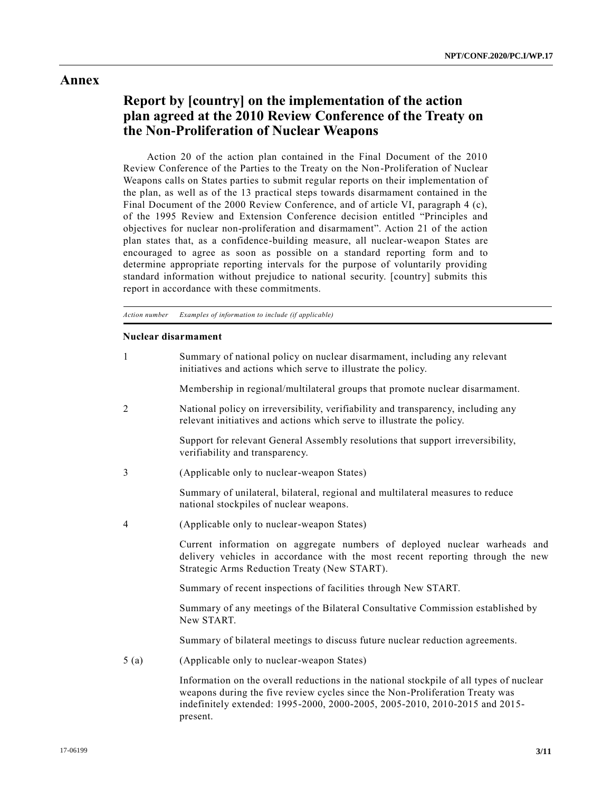#### **Annex**

## **Report by [country] on the implementation of the action plan agreed at the 2010 Review Conference of the Treaty on the Non-Proliferation of Nuclear Weapons**

Action 20 of the action plan contained in the Final Document of the 2010 Review Conference of the Parties to the Treaty on the Non-Proliferation of Nuclear Weapons calls on States parties to submit regular reports on their implementation of the plan, as well as of the 13 practical steps towards disarmament contained in the Final Document of the 2000 Review Conference, and of article VI, paragraph 4 (c), of the 1995 Review and Extension Conference decision entitled "Principles and objectives for nuclear non-proliferation and disarmament". Action 21 of the action plan states that, as a confidence-building measure, all nuclear-weapon States are encouraged to agree as soon as possible on a standard reporting form and to determine appropriate reporting intervals for the purpose of voluntarily providing standard information without prejudice to national security. [country] submits this report in accordance with these commitments.

*Action number Examples of information to include (if applicable)*

#### **Nuclear disarmament**

| 1    | Summary of national policy on nuclear disarmament, including any relevant<br>initiatives and actions which serve to illustrate the policy.                                                                  |
|------|-------------------------------------------------------------------------------------------------------------------------------------------------------------------------------------------------------------|
|      | Membership in regional/multilateral groups that promote nuclear disarmament.                                                                                                                                |
| 2    | National policy on irreversibility, verifiability and transparency, including any<br>relevant initiatives and actions which serve to illustrate the policy.                                                 |
|      | Support for relevant General Assembly resolutions that support irreversibility,<br>verifiability and transparency.                                                                                          |
| 3    | (Applicable only to nuclear-weapon States)                                                                                                                                                                  |
|      | Summary of unilateral, bilateral, regional and multilateral measures to reduce<br>national stockpiles of nuclear weapons.                                                                                   |
| 4    | (Applicable only to nuclear-weapon States)                                                                                                                                                                  |
|      | Current information on aggregate numbers of deployed nuclear warheads and<br>delivery vehicles in accordance with the most recent reporting through the new<br>Strategic Arms Reduction Treaty (New START). |
|      | Summary of recent inspections of facilities through New START.                                                                                                                                              |
|      | Summary of any meetings of the Bilateral Consultative Commission established by<br>New START.                                                                                                               |
|      | Summary of bilateral meetings to discuss future nuclear reduction agreements.                                                                                                                               |
| 5(a) | (Applicable only to nuclear-weapon States)                                                                                                                                                                  |
|      | Information on the overall reductions in the national stockpile of all types of nuclear                                                                                                                     |

weapons during the five review cycles since the Non-Proliferation Treaty was indefinitely extended: 1995-2000, 2000-2005, 2005-2010, 2010-2015 and 2015 present.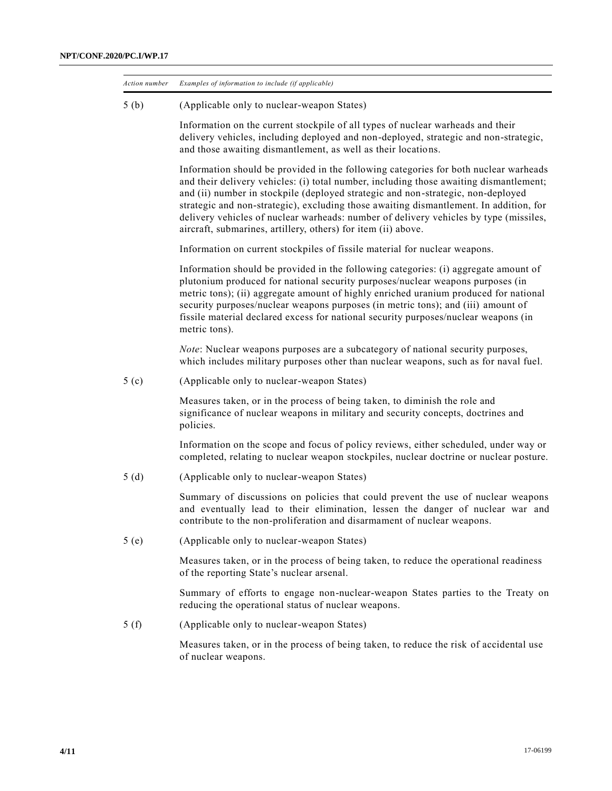| Action number    | Examples of information to include (if applicable)                                                                                                                                                                                                                                                                                                                                                                                                                                                                     |
|------------------|------------------------------------------------------------------------------------------------------------------------------------------------------------------------------------------------------------------------------------------------------------------------------------------------------------------------------------------------------------------------------------------------------------------------------------------------------------------------------------------------------------------------|
| 5(b)             | (Applicable only to nuclear-weapon States)                                                                                                                                                                                                                                                                                                                                                                                                                                                                             |
|                  | Information on the current stockpile of all types of nuclear warheads and their<br>delivery vehicles, including deployed and non-deployed, strategic and non-strategic,<br>and those awaiting dismantlement, as well as their locations.                                                                                                                                                                                                                                                                               |
|                  | Information should be provided in the following categories for both nuclear warheads<br>and their delivery vehicles: (i) total number, including those awaiting dismantlement;<br>and (ii) number in stockpile (deployed strategic and non-strategic, non-deployed<br>strategic and non-strategic), excluding those awaiting dismantlement. In addition, for<br>delivery vehicles of nuclear warheads: number of delivery vehicles by type (missiles,<br>aircraft, submarines, artillery, others) for item (ii) above. |
|                  | Information on current stockpiles of fissile material for nuclear weapons.                                                                                                                                                                                                                                                                                                                                                                                                                                             |
|                  | Information should be provided in the following categories: (i) aggregate amount of<br>plutonium produced for national security purposes/nuclear weapons purposes (in<br>metric tons); (ii) aggregate amount of highly enriched uranium produced for national<br>security purposes/nuclear weapons purposes (in metric tons); and (iii) amount of<br>fissile material declared excess for national security purposes/nuclear weapons (in<br>metric tons).                                                              |
|                  | <i>Note:</i> Nuclear weapons purposes are a subcategory of national security purposes,<br>which includes military purposes other than nuclear weapons, such as for naval fuel.                                                                                                                                                                                                                                                                                                                                         |
| 5 <sub>(c)</sub> | (Applicable only to nuclear-weapon States)                                                                                                                                                                                                                                                                                                                                                                                                                                                                             |
|                  | Measures taken, or in the process of being taken, to diminish the role and<br>significance of nuclear weapons in military and security concepts, doctrines and<br>policies.                                                                                                                                                                                                                                                                                                                                            |
|                  | Information on the scope and focus of policy reviews, either scheduled, under way or<br>completed, relating to nuclear weapon stockpiles, nuclear doctrine or nuclear posture.                                                                                                                                                                                                                                                                                                                                         |
| 5(d)             | (Applicable only to nuclear-weapon States)                                                                                                                                                                                                                                                                                                                                                                                                                                                                             |
|                  | Summary of discussions on policies that could prevent the use of nuclear weapons<br>and eventually lead to their elimination, lessen the danger of nuclear war and<br>contribute to the non-proliferation and disarmament of nuclear weapons.                                                                                                                                                                                                                                                                          |
| 5(e)             | (Applicable only to nuclear-weapon States)                                                                                                                                                                                                                                                                                                                                                                                                                                                                             |
|                  | Measures taken, or in the process of being taken, to reduce the operational readiness<br>of the reporting State's nuclear arsenal.                                                                                                                                                                                                                                                                                                                                                                                     |
|                  | Summary of efforts to engage non-nuclear-weapon States parties to the Treaty on<br>reducing the operational status of nuclear weapons.                                                                                                                                                                                                                                                                                                                                                                                 |
| 5(f)             | (Applicable only to nuclear-weapon States)                                                                                                                                                                                                                                                                                                                                                                                                                                                                             |
|                  | Measures taken, or in the process of being taken, to reduce the risk of accidental use<br>of nuclear weapons.                                                                                                                                                                                                                                                                                                                                                                                                          |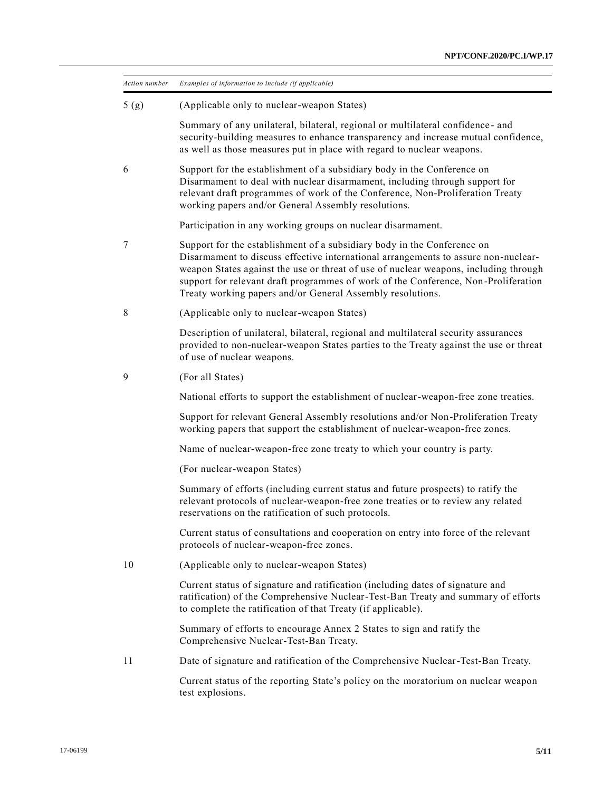| Action number | Examples of information to include (if applicable)                                                                                                                                                                                                                                                                                                                                                        |
|---------------|-----------------------------------------------------------------------------------------------------------------------------------------------------------------------------------------------------------------------------------------------------------------------------------------------------------------------------------------------------------------------------------------------------------|
| 5(g)          | (Applicable only to nuclear-weapon States)                                                                                                                                                                                                                                                                                                                                                                |
|               | Summary of any unilateral, bilateral, regional or multilateral confidence- and<br>security-building measures to enhance transparency and increase mutual confidence,<br>as well as those measures put in place with regard to nuclear weapons.                                                                                                                                                            |
| 6             | Support for the establishment of a subsidiary body in the Conference on<br>Disarmament to deal with nuclear disarmament, including through support for<br>relevant draft programmes of work of the Conference, Non-Proliferation Treaty<br>working papers and/or General Assembly resolutions.                                                                                                            |
|               | Participation in any working groups on nuclear disarmament.                                                                                                                                                                                                                                                                                                                                               |
| 7             | Support for the establishment of a subsidiary body in the Conference on<br>Disarmament to discuss effective international arrangements to assure non-nuclear-<br>weapon States against the use or threat of use of nuclear weapons, including through<br>support for relevant draft programmes of work of the Conference, Non-Proliferation<br>Treaty working papers and/or General Assembly resolutions. |
| 8             | (Applicable only to nuclear-weapon States)                                                                                                                                                                                                                                                                                                                                                                |
|               | Description of unilateral, bilateral, regional and multilateral security assurances<br>provided to non-nuclear-weapon States parties to the Treaty against the use or threat<br>of use of nuclear weapons.                                                                                                                                                                                                |
| 9             | (For all States)                                                                                                                                                                                                                                                                                                                                                                                          |
|               | National efforts to support the establishment of nuclear-weapon-free zone treaties.                                                                                                                                                                                                                                                                                                                       |
|               | Support for relevant General Assembly resolutions and/or Non-Proliferation Treaty<br>working papers that support the establishment of nuclear-weapon-free zones.                                                                                                                                                                                                                                          |
|               | Name of nuclear-weapon-free zone treaty to which your country is party.                                                                                                                                                                                                                                                                                                                                   |
|               | (For nuclear-weapon States)                                                                                                                                                                                                                                                                                                                                                                               |
|               | Summary of efforts (including current status and future prospects) to ratify the<br>relevant protocols of nuclear-weapon-free zone treaties or to review any related<br>reservations on the ratification of such protocols.                                                                                                                                                                               |
|               | Current status of consultations and cooperation on entry into force of the relevant<br>protocols of nuclear-weapon-free zones.                                                                                                                                                                                                                                                                            |
| 10            | (Applicable only to nuclear-weapon States)                                                                                                                                                                                                                                                                                                                                                                |
|               | Current status of signature and ratification (including dates of signature and<br>ratification) of the Comprehensive Nuclear-Test-Ban Treaty and summary of efforts<br>to complete the ratification of that Treaty (if applicable).                                                                                                                                                                       |
|               | Summary of efforts to encourage Annex 2 States to sign and ratify the<br>Comprehensive Nuclear-Test-Ban Treaty.                                                                                                                                                                                                                                                                                           |
| 11            | Date of signature and ratification of the Comprehensive Nuclear-Test-Ban Treaty.                                                                                                                                                                                                                                                                                                                          |
|               | Current status of the reporting State's policy on the moratorium on nuclear weapon<br>test explosions.                                                                                                                                                                                                                                                                                                    |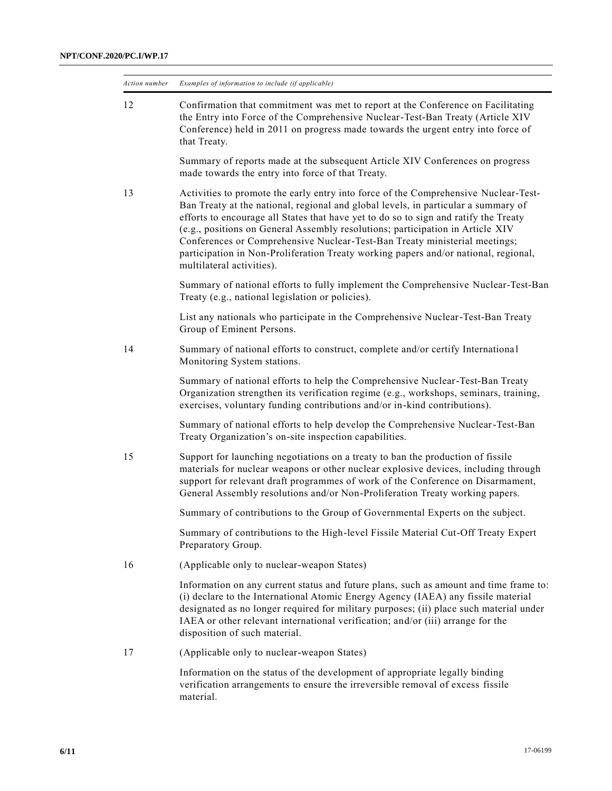| Action number | Examples of information to include (if applicable)                                                                                                                                                                                                                                                                                                                                                                                                                                                                                                    |
|---------------|-------------------------------------------------------------------------------------------------------------------------------------------------------------------------------------------------------------------------------------------------------------------------------------------------------------------------------------------------------------------------------------------------------------------------------------------------------------------------------------------------------------------------------------------------------|
| 12            | Confirmation that commitment was met to report at the Conference on Facilitating<br>the Entry into Force of the Comprehensive Nuclear-Test-Ban Treaty (Article XIV<br>Conference) held in 2011 on progress made towards the urgent entry into force of<br>that Treaty.                                                                                                                                                                                                                                                                                |
|               | Summary of reports made at the subsequent Article XIV Conferences on progress<br>made towards the entry into force of that Treaty.                                                                                                                                                                                                                                                                                                                                                                                                                    |
| 13            | Activities to promote the early entry into force of the Comprehensive Nuclear-Test-<br>Ban Treaty at the national, regional and global levels, in particular a summary of<br>efforts to encourage all States that have yet to do so to sign and ratify the Treaty<br>(e.g., positions on General Assembly resolutions; participation in Article XIV<br>Conferences or Comprehensive Nuclear-Test-Ban Treaty ministerial meetings;<br>participation in Non-Proliferation Treaty working papers and/or national, regional,<br>multilateral activities). |
|               | Summary of national efforts to fully implement the Comprehensive Nuclear-Test-Ban<br>Treaty (e.g., national legislation or policies).                                                                                                                                                                                                                                                                                                                                                                                                                 |
|               | List any nationals who participate in the Comprehensive Nuclear-Test-Ban Treaty<br>Group of Eminent Persons.                                                                                                                                                                                                                                                                                                                                                                                                                                          |
| 14            | Summary of national efforts to construct, complete and/or certify International<br>Monitoring System stations.                                                                                                                                                                                                                                                                                                                                                                                                                                        |
|               | Summary of national efforts to help the Comprehensive Nuclear-Test-Ban Treaty<br>Organization strengthen its verification regime (e.g., workshops, seminars, training,<br>exercises, voluntary funding contributions and/or in-kind contributions).                                                                                                                                                                                                                                                                                                   |
|               | Summary of national efforts to help develop the Comprehensive Nuclear-Test-Ban<br>Treaty Organization's on-site inspection capabilities.                                                                                                                                                                                                                                                                                                                                                                                                              |
| 15            | Support for launching negotiations on a treaty to ban the production of fissile<br>materials for nuclear weapons or other nuclear explosive devices, including through<br>support for relevant draft programmes of work of the Conference on Disarmament,<br>General Assembly resolutions and/or Non-Proliferation Treaty working papers.                                                                                                                                                                                                             |
|               | Summary of contributions to the Group of Governmental Experts on the subject.                                                                                                                                                                                                                                                                                                                                                                                                                                                                         |
|               | Summary of contributions to the High-level Fissile Material Cut-Off Treaty Expert<br>Preparatory Group.                                                                                                                                                                                                                                                                                                                                                                                                                                               |
| 16            | (Applicable only to nuclear-weapon States)                                                                                                                                                                                                                                                                                                                                                                                                                                                                                                            |
|               | Information on any current status and future plans, such as amount and time frame to:<br>(i) declare to the International Atomic Energy Agency (IAEA) any fissile material<br>designated as no longer required for military purposes; (ii) place such material under<br>IAEA or other relevant international verification; and/or (iii) arrange for the<br>disposition of such material.                                                                                                                                                              |
| 17            | (Applicable only to nuclear-weapon States)                                                                                                                                                                                                                                                                                                                                                                                                                                                                                                            |
|               | Information on the status of the development of appropriate legally binding<br>verification arrangements to ensure the irreversible removal of excess fissile<br>material.                                                                                                                                                                                                                                                                                                                                                                            |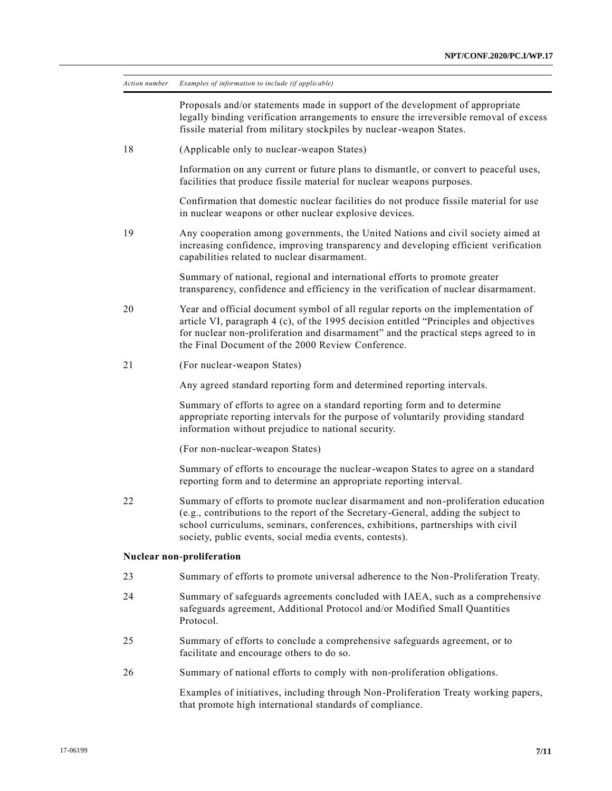| Action number | Examples of information to include (if applicable)                                                                                                                                                                                                                                                                     |
|---------------|------------------------------------------------------------------------------------------------------------------------------------------------------------------------------------------------------------------------------------------------------------------------------------------------------------------------|
|               | Proposals and/or statements made in support of the development of appropriate<br>legally binding verification arrangements to ensure the irreversible removal of excess<br>fissile material from military stockpiles by nuclear-weapon States.                                                                         |
| 18            | (Applicable only to nuclear-weapon States)                                                                                                                                                                                                                                                                             |
|               | Information on any current or future plans to dismantle, or convert to peaceful uses,<br>facilities that produce fissile material for nuclear weapons purposes.                                                                                                                                                        |
|               | Confirmation that domestic nuclear facilities do not produce fissile material for use<br>in nuclear weapons or other nuclear explosive devices.                                                                                                                                                                        |
| 19            | Any cooperation among governments, the United Nations and civil society aimed at<br>increasing confidence, improving transparency and developing efficient verification<br>capabilities related to nuclear disarmament.                                                                                                |
|               | Summary of national, regional and international efforts to promote greater<br>transparency, confidence and efficiency in the verification of nuclear disarmament.                                                                                                                                                      |
| 20            | Year and official document symbol of all regular reports on the implementation of<br>article VI, paragraph 4 (c), of the 1995 decision entitled "Principles and objectives<br>for nuclear non-proliferation and disarmament" and the practical steps agreed to in<br>the Final Document of the 2000 Review Conference. |
| 21            | (For nuclear-weapon States)                                                                                                                                                                                                                                                                                            |
|               | Any agreed standard reporting form and determined reporting intervals.                                                                                                                                                                                                                                                 |
|               | Summary of efforts to agree on a standard reporting form and to determine<br>appropriate reporting intervals for the purpose of voluntarily providing standard<br>information without prejudice to national security.                                                                                                  |
|               | (For non-nuclear-weapon States)                                                                                                                                                                                                                                                                                        |
|               | Summary of efforts to encourage the nuclear-weapon States to agree on a standard<br>reporting form and to determine an appropriate reporting interval.                                                                                                                                                                 |
| 22            | Summary of efforts to promote nuclear disarmament and non-proliferation education<br>(e.g., contributions to the report of the Secretary-General, adding the subject to<br>school curriculums, seminars, conferences, exhibitions, partnerships with civil<br>society, public events, social media events, contests).  |
|               | Nuclear non-proliferation                                                                                                                                                                                                                                                                                              |
| 23            | Summary of efforts to promote universal adherence to the Non-Proliferation Treaty.                                                                                                                                                                                                                                     |
| 24            | Summary of safeguards agreements concluded with IAEA, such as a comprehensive<br>safeguards agreement, Additional Protocol and/or Modified Small Quantities<br>Protocol.                                                                                                                                               |
| 25            | Summary of efforts to conclude a comprehensive safeguards agreement, or to<br>facilitate and encourage others to do so.                                                                                                                                                                                                |
| 26            | Summary of national efforts to comply with non-proliferation obligations.                                                                                                                                                                                                                                              |
|               | Examples of initiatives, including through Non-Proliferation Treaty working papers,<br>that promote high international standards of compliance.                                                                                                                                                                        |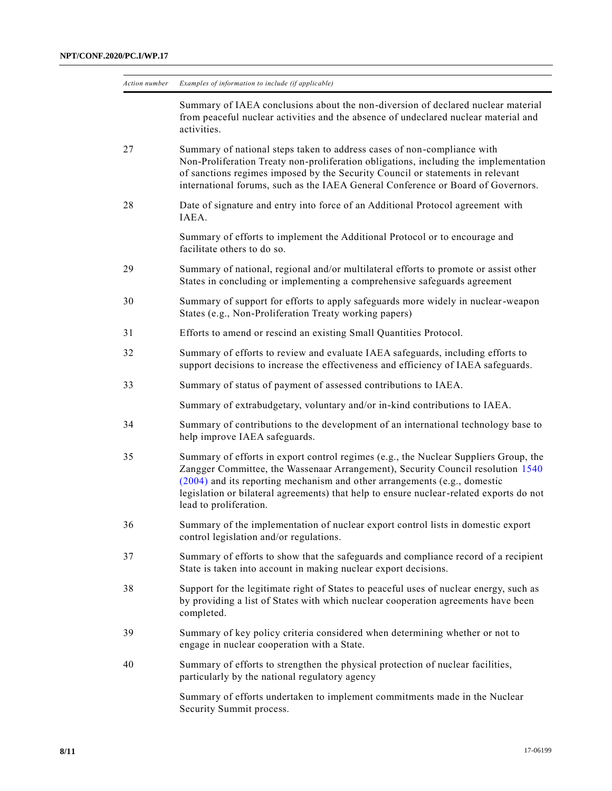| Action number | Examples of information to include (if applicable)                                                                                                                                                                                                                                                                                                                          |
|---------------|-----------------------------------------------------------------------------------------------------------------------------------------------------------------------------------------------------------------------------------------------------------------------------------------------------------------------------------------------------------------------------|
|               | Summary of IAEA conclusions about the non-diversion of declared nuclear material<br>from peaceful nuclear activities and the absence of undeclared nuclear material and<br>activities.                                                                                                                                                                                      |
| 27            | Summary of national steps taken to address cases of non-compliance with<br>Non-Proliferation Treaty non-proliferation obligations, including the implementation<br>of sanctions regimes imposed by the Security Council or statements in relevant<br>international forums, such as the IAEA General Conference or Board of Governors.                                       |
| 28            | Date of signature and entry into force of an Additional Protocol agreement with<br>IAEA.                                                                                                                                                                                                                                                                                    |
|               | Summary of efforts to implement the Additional Protocol or to encourage and<br>facilitate others to do so.                                                                                                                                                                                                                                                                  |
| 29            | Summary of national, regional and/or multilateral efforts to promote or assist other<br>States in concluding or implementing a comprehensive safeguards agreement                                                                                                                                                                                                           |
| 30            | Summary of support for efforts to apply safeguards more widely in nuclear-weapon<br>States (e.g., Non-Proliferation Treaty working papers)                                                                                                                                                                                                                                  |
| 31            | Efforts to amend or rescind an existing Small Quantities Protocol.                                                                                                                                                                                                                                                                                                          |
| 32            | Summary of efforts to review and evaluate IAEA safeguards, including efforts to<br>support decisions to increase the effectiveness and efficiency of IAEA safeguards.                                                                                                                                                                                                       |
| 33            | Summary of status of payment of assessed contributions to IAEA.                                                                                                                                                                                                                                                                                                             |
|               | Summary of extrabudgetary, voluntary and/or in-kind contributions to IAEA.                                                                                                                                                                                                                                                                                                  |
| 34            | Summary of contributions to the development of an international technology base to<br>help improve IAEA safeguards.                                                                                                                                                                                                                                                         |
| 35            | Summary of efforts in export control regimes (e.g., the Nuclear Suppliers Group, the<br>Zangger Committee, the Wassenaar Arrangement), Security Council resolution 1540<br>$(2004)$ and its reporting mechanism and other arrangements (e.g., domestic<br>legislation or bilateral agreements) that help to ensure nuclear-related exports do not<br>lead to proliferation. |
| 36            | Summary of the implementation of nuclear export control lists in domestic export<br>control legislation and/or regulations.                                                                                                                                                                                                                                                 |
| 37            | Summary of efforts to show that the safeguards and compliance record of a recipient<br>State is taken into account in making nuclear export decisions.                                                                                                                                                                                                                      |
| 38            | Support for the legitimate right of States to peaceful uses of nuclear energy, such as<br>by providing a list of States with which nuclear cooperation agreements have been<br>completed.                                                                                                                                                                                   |
| 39            | Summary of key policy criteria considered when determining whether or not to<br>engage in nuclear cooperation with a State.                                                                                                                                                                                                                                                 |
| 40            | Summary of efforts to strengthen the physical protection of nuclear facilities,<br>particularly by the national regulatory agency                                                                                                                                                                                                                                           |
|               | Summary of efforts undertaken to implement commitments made in the Nuclear<br>Security Summit process.                                                                                                                                                                                                                                                                      |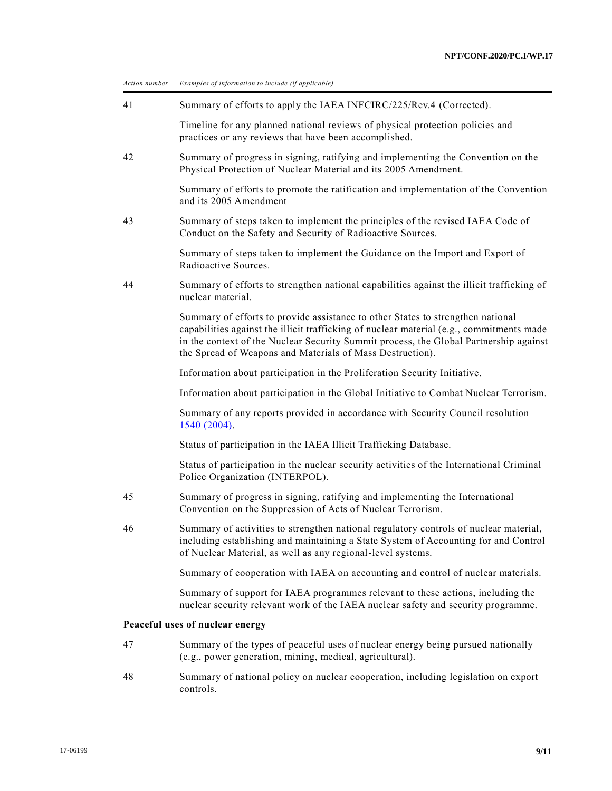| Action number | Examples of information to include (if applicable)                                                                                                                                                                                                                                                                                |
|---------------|-----------------------------------------------------------------------------------------------------------------------------------------------------------------------------------------------------------------------------------------------------------------------------------------------------------------------------------|
| 41            | Summary of efforts to apply the IAEA INFCIRC/225/Rev.4 (Corrected).                                                                                                                                                                                                                                                               |
|               | Timeline for any planned national reviews of physical protection policies and<br>practices or any reviews that have been accomplished.                                                                                                                                                                                            |
| 42            | Summary of progress in signing, ratifying and implementing the Convention on the<br>Physical Protection of Nuclear Material and its 2005 Amendment.                                                                                                                                                                               |
|               | Summary of efforts to promote the ratification and implementation of the Convention<br>and its 2005 Amendment                                                                                                                                                                                                                     |
| 43            | Summary of steps taken to implement the principles of the revised IAEA Code of<br>Conduct on the Safety and Security of Radioactive Sources.                                                                                                                                                                                      |
|               | Summary of steps taken to implement the Guidance on the Import and Export of<br>Radioactive Sources.                                                                                                                                                                                                                              |
| 44            | Summary of efforts to strengthen national capabilities against the illicit trafficking of<br>nuclear material.                                                                                                                                                                                                                    |
|               | Summary of efforts to provide assistance to other States to strengthen national<br>capabilities against the illicit trafficking of nuclear material (e.g., commitments made<br>in the context of the Nuclear Security Summit process, the Global Partnership against<br>the Spread of Weapons and Materials of Mass Destruction). |
|               | Information about participation in the Proliferation Security Initiative.                                                                                                                                                                                                                                                         |
|               | Information about participation in the Global Initiative to Combat Nuclear Terrorism.                                                                                                                                                                                                                                             |
|               | Summary of any reports provided in accordance with Security Council resolution<br>1540 (2004).                                                                                                                                                                                                                                    |
|               | Status of participation in the IAEA Illicit Trafficking Database.                                                                                                                                                                                                                                                                 |
|               | Status of participation in the nuclear security activities of the International Criminal<br>Police Organization (INTERPOL).                                                                                                                                                                                                       |
| 45            | Summary of progress in signing, ratifying and implementing the International<br>Convention on the Suppression of Acts of Nuclear Terrorism.                                                                                                                                                                                       |
| 46            | Summary of activities to strengthen national regulatory controls of nuclear material,<br>including establishing and maintaining a State System of Accounting for and Control<br>of Nuclear Material, as well as any regional-level systems.                                                                                       |
|               | Summary of cooperation with IAEA on accounting and control of nuclear materials.                                                                                                                                                                                                                                                  |
|               | Summary of support for IAEA programmes relevant to these actions, including the<br>nuclear security relevant work of the IAEA nuclear safety and security programme.                                                                                                                                                              |
|               | Peaceful uses of nuclear energy                                                                                                                                                                                                                                                                                                   |
| 47            | Summary of the types of peaceful uses of nuclear energy being pursued nationally<br>(e.g., power generation, mining, medical, agricultural).                                                                                                                                                                                      |
| 48            | Summary of national policy on nuclear cooperation, including legislation on export<br>controls.                                                                                                                                                                                                                                   |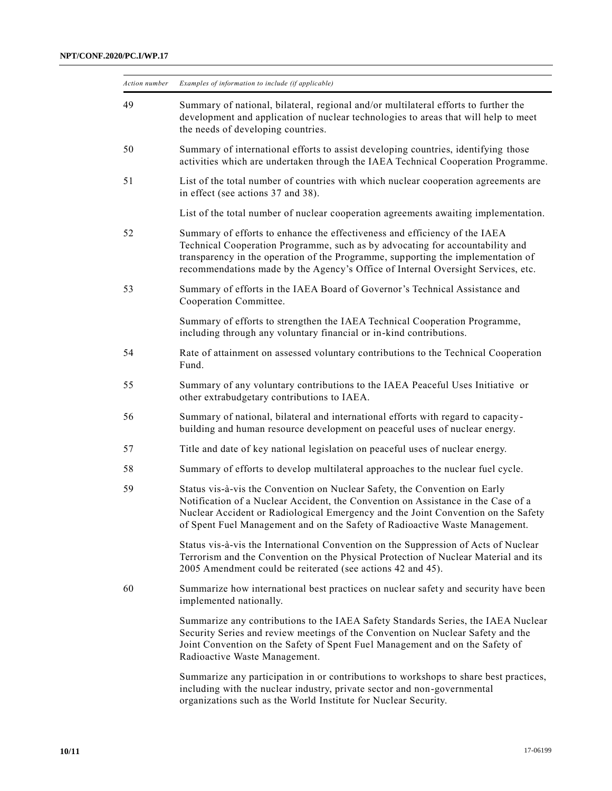| Action number | Examples of information to include (if applicable)                                                                                                                                                                                                                                                                                  |
|---------------|-------------------------------------------------------------------------------------------------------------------------------------------------------------------------------------------------------------------------------------------------------------------------------------------------------------------------------------|
| 49            | Summary of national, bilateral, regional and/or multilateral efforts to further the<br>development and application of nuclear technologies to areas that will help to meet<br>the needs of developing countries.                                                                                                                    |
| 50            | Summary of international efforts to assist developing countries, identifying those<br>activities which are undertaken through the IAEA Technical Cooperation Programme.                                                                                                                                                             |
| 51            | List of the total number of countries with which nuclear cooperation agreements are<br>in effect (see actions 37 and 38).                                                                                                                                                                                                           |
|               | List of the total number of nuclear cooperation agreements awaiting implementation.                                                                                                                                                                                                                                                 |
| 52            | Summary of efforts to enhance the effectiveness and efficiency of the IAEA<br>Technical Cooperation Programme, such as by advocating for accountability and<br>transparency in the operation of the Programme, supporting the implementation of<br>recommendations made by the Agency's Office of Internal Oversight Services, etc. |
| 53            | Summary of efforts in the IAEA Board of Governor's Technical Assistance and<br>Cooperation Committee.                                                                                                                                                                                                                               |
|               | Summary of efforts to strengthen the IAEA Technical Cooperation Programme,<br>including through any voluntary financial or in-kind contributions.                                                                                                                                                                                   |
| 54            | Rate of attainment on assessed voluntary contributions to the Technical Cooperation<br>Fund.                                                                                                                                                                                                                                        |
| 55            | Summary of any voluntary contributions to the IAEA Peaceful Uses Initiative or<br>other extrabudgetary contributions to IAEA.                                                                                                                                                                                                       |
| 56            | Summary of national, bilateral and international efforts with regard to capacity-<br>building and human resource development on peaceful uses of nuclear energy.                                                                                                                                                                    |
| 57            | Title and date of key national legislation on peaceful uses of nuclear energy.                                                                                                                                                                                                                                                      |
| 58            | Summary of efforts to develop multilateral approaches to the nuclear fuel cycle.                                                                                                                                                                                                                                                    |
| 59            | Status vis-à-vis the Convention on Nuclear Safety, the Convention on Early<br>Notification of a Nuclear Accident, the Convention on Assistance in the Case of a<br>Nuclear Accident or Radiological Emergency and the Joint Convention on the Safety<br>of Spent Fuel Management and on the Safety of Radioactive Waste Management. |
|               | Status vis-à-vis the International Convention on the Suppression of Acts of Nuclear<br>Terrorism and the Convention on the Physical Protection of Nuclear Material and its<br>2005 Amendment could be reiterated (see actions 42 and 45).                                                                                           |
| 60            | Summarize how international best practices on nuclear safety and security have been<br>implemented nationally.                                                                                                                                                                                                                      |
|               | Summarize any contributions to the IAEA Safety Standards Series, the IAEA Nuclear<br>Security Series and review meetings of the Convention on Nuclear Safety and the<br>Joint Convention on the Safety of Spent Fuel Management and on the Safety of<br>Radioactive Waste Management.                                               |
|               | Summarize any participation in or contributions to workshops to share best practices,<br>including with the nuclear industry, private sector and non-governmental<br>organizations such as the World Institute for Nuclear Security.                                                                                                |